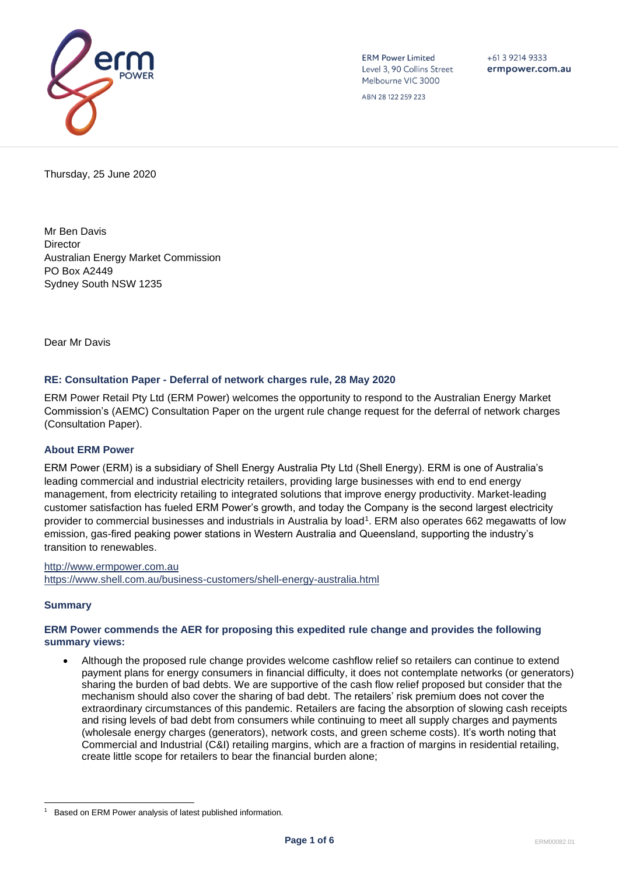

**ERM Power Limited** Level 3, 90 Collins Street Melbourne VIC 3000

+61 3 9214 9333 ermpower.com.au

ABN 28 122 259 223

Thursday, 25 June 2020

Mr Ben Davis **Director** Australian Energy Market Commission PO Box A2449 Sydney South NSW 1235

Dear Mr Davis

#### **RE: Consultation Paper - Deferral of network charges rule, 28 May 2020**

ERM Power Retail Pty Ltd (ERM Power) welcomes the opportunity to respond to the Australian Energy Market Commission's (AEMC) Consultation Paper on the urgent rule change request for the deferral of network charges (Consultation Paper).

#### **About ERM Power**

ERM Power (ERM) is a subsidiary of Shell Energy Australia Pty Ltd (Shell Energy). ERM is one of Australia's leading commercial and industrial electricity retailers, providing large businesses with end to end energy management, from electricity retailing to integrated solutions that improve energy productivity. Market-leading customer satisfaction has fueled ERM Power's growth, and today the Company is the second largest electricity provider to commercial businesses and industrials in Australia by load<sup>1</sup>. ERM also operates 662 megawatts of low emission, gas-fired peaking power stations in Western Australia and Queensland, supporting the industry's transition to renewables.

[http://www.ermpower.com.au](http://www.ermpower.com.au/) <https://www.shell.com.au/business-customers/shell-energy-australia.html>

#### **Summary**

#### **ERM Power commends the AER for proposing this expedited rule change and provides the following summary views:**

• Although the proposed rule change provides welcome cashflow relief so retailers can continue to extend payment plans for energy consumers in financial difficulty, it does not contemplate networks (or generators) sharing the burden of bad debts. We are supportive of the cash flow relief proposed but consider that the mechanism should also cover the sharing of bad debt. The retailers' risk premium does not cover the extraordinary circumstances of this pandemic. Retailers are facing the absorption of slowing cash receipts and rising levels of bad debt from consumers while continuing to meet all supply charges and payments (wholesale energy charges (generators), network costs, and green scheme costs). It's worth noting that Commercial and Industrial (C&I) retailing margins, which are a fraction of margins in residential retailing, create little scope for retailers to bear the financial burden alone;

<sup>1</sup> Based on ERM Power analysis of latest published information.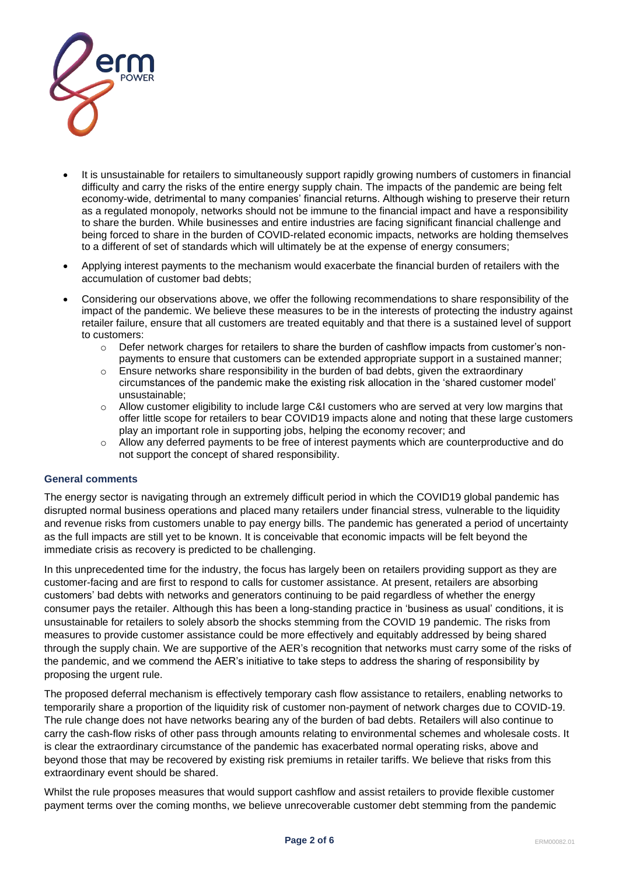

- It is unsustainable for retailers to simultaneously support rapidly growing numbers of customers in financial difficulty and carry the risks of the entire energy supply chain. The impacts of the pandemic are being felt economy-wide, detrimental to many companies' financial returns. Although wishing to preserve their return as a regulated monopoly, networks should not be immune to the financial impact and have a responsibility to share the burden. While businesses and entire industries are facing significant financial challenge and being forced to share in the burden of COVID-related economic impacts, networks are holding themselves to a different of set of standards which will ultimately be at the expense of energy consumers;
- Applying interest payments to the mechanism would exacerbate the financial burden of retailers with the accumulation of customer bad debts;
- Considering our observations above, we offer the following recommendations to share responsibility of the impact of the pandemic. We believe these measures to be in the interests of protecting the industry against retailer failure, ensure that all customers are treated equitably and that there is a sustained level of support to customers:
	- o Defer network charges for retailers to share the burden of cashflow impacts from customer's nonpayments to ensure that customers can be extended appropriate support in a sustained manner;
	- $\circ$  Ensure networks share responsibility in the burden of bad debts, given the extraordinary circumstances of the pandemic make the existing risk allocation in the 'shared customer model' unsustainable;
	- o Allow customer eligibility to include large C&I customers who are served at very low margins that offer little scope for retailers to bear COVID19 impacts alone and noting that these large customers play an important role in supporting jobs, helping the economy recover; and
	- o Allow any deferred payments to be free of interest payments which are counterproductive and do not support the concept of shared responsibility.

## **General comments**

The energy sector is navigating through an extremely difficult period in which the COVID19 global pandemic has disrupted normal business operations and placed many retailers under financial stress, vulnerable to the liquidity and revenue risks from customers unable to pay energy bills. The pandemic has generated a period of uncertainty as the full impacts are still yet to be known. It is conceivable that economic impacts will be felt beyond the immediate crisis as recovery is predicted to be challenging.

In this unprecedented time for the industry, the focus has largely been on retailers providing support as they are customer-facing and are first to respond to calls for customer assistance. At present, retailers are absorbing customers' bad debts with networks and generators continuing to be paid regardless of whether the energy consumer pays the retailer. Although this has been a long-standing practice in 'business as usual' conditions, it is unsustainable for retailers to solely absorb the shocks stemming from the COVID 19 pandemic. The risks from measures to provide customer assistance could be more effectively and equitably addressed by being shared through the supply chain. We are supportive of the AER's recognition that networks must carry some of the risks of the pandemic, and we commend the AER's initiative to take steps to address the sharing of responsibility by proposing the urgent rule.

The proposed deferral mechanism is effectively temporary cash flow assistance to retailers, enabling networks to temporarily share a proportion of the liquidity risk of customer non-payment of network charges due to COVID-19. The rule change does not have networks bearing any of the burden of bad debts. Retailers will also continue to carry the cash-flow risks of other pass through amounts relating to environmental schemes and wholesale costs. It is clear the extraordinary circumstance of the pandemic has exacerbated normal operating risks, above and beyond those that may be recovered by existing risk premiums in retailer tariffs. We believe that risks from this extraordinary event should be shared.

Whilst the rule proposes measures that would support cashflow and assist retailers to provide flexible customer payment terms over the coming months, we believe unrecoverable customer debt stemming from the pandemic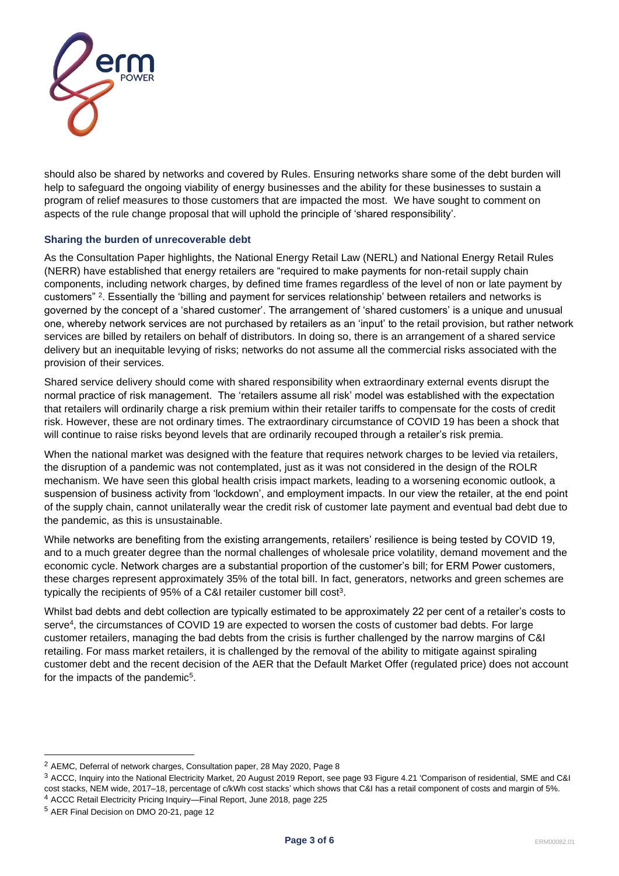

should also be shared by networks and covered by Rules. Ensuring networks share some of the debt burden will help to safeguard the ongoing viability of energy businesses and the ability for these businesses to sustain a program of relief measures to those customers that are impacted the most. We have sought to comment on aspects of the rule change proposal that will uphold the principle of 'shared responsibility'.

## **Sharing the burden of unrecoverable debt**

As the Consultation Paper highlights, the National Energy Retail Law (NERL) and National Energy Retail Rules (NERR) have established that energy retailers are "required to make payments for non-retail supply chain components, including network charges, by defined time frames regardless of the level of non or late payment by customers" <sup>2</sup> . Essentially the 'billing and payment for services relationship' between retailers and networks is governed by the concept of a 'shared customer'. The arrangement of 'shared customers' is a unique and unusual one, whereby network services are not purchased by retailers as an 'input' to the retail provision, but rather network services are billed by retailers on behalf of distributors. In doing so, there is an arrangement of a shared service delivery but an inequitable levying of risks; networks do not assume all the commercial risks associated with the provision of their services.

Shared service delivery should come with shared responsibility when extraordinary external events disrupt the normal practice of risk management. The 'retailers assume all risk' model was established with the expectation that retailers will ordinarily charge a risk premium within their retailer tariffs to compensate for the costs of credit risk. However, these are not ordinary times. The extraordinary circumstance of COVID 19 has been a shock that will continue to raise risks beyond levels that are ordinarily recouped through a retailer's risk premia.

When the national market was designed with the feature that requires network charges to be levied via retailers, the disruption of a pandemic was not contemplated, just as it was not considered in the design of the ROLR mechanism. We have seen this global health crisis impact markets, leading to a worsening economic outlook, a suspension of business activity from 'lockdown', and employment impacts. In our view the retailer, at the end point of the supply chain, cannot unilaterally wear the credit risk of customer late payment and eventual bad debt due to the pandemic, as this is unsustainable.

While networks are benefiting from the existing arrangements, retailers' resilience is being tested by COVID 19, and to a much greater degree than the normal challenges of wholesale price volatility, demand movement and the economic cycle. Network charges are a substantial proportion of the customer's bill; for ERM Power customers, these charges represent approximately 35% of the total bill. In fact, generators, networks and green schemes are typically the recipients of 95% of a C&I retailer customer bill cost<sup>3</sup>.

Whilst bad debts and debt collection are typically estimated to be approximately 22 per cent of a retailer's costs to serve<sup>4</sup> , the circumstances of COVID 19 are expected to worsen the costs of customer bad debts. For large customer retailers, managing the bad debts from the crisis is further challenged by the narrow margins of C&I retailing. For mass market retailers, it is challenged by the removal of the ability to mitigate against spiraling customer debt and the recent decision of the AER that the Default Market Offer (regulated price) does not account for the impacts of the pandemic<sup>5</sup>.

<sup>2</sup> AEMC, Deferral of network charges, Consultation paper, 28 May 2020, Page 8

<sup>3</sup> ACCC, Inquiry into the National Electricity Market, 20 August 2019 Report, see page 93 Figure 4.21 'Comparison of residential, SME and C&I cost stacks, NEM wide, 2017–18, percentage of c/kWh cost stacks' which shows that C&I has a retail component of costs and margin of 5%. <sup>4</sup> ACCC Retail Electricity Pricing Inquiry—Final Report, June 2018, page 225

<sup>5</sup> AER Final Decision on DMO 20-21, page 12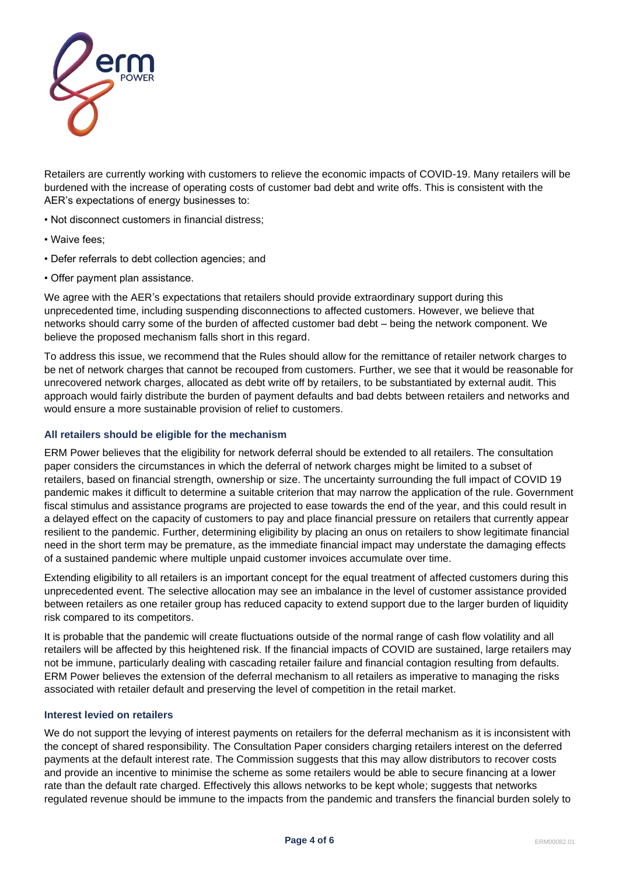

Retailers are currently working with customers to relieve the economic impacts of COVID-19. Many retailers will be burdened with the increase of operating costs of customer bad debt and write offs. This is consistent with the AER's expectations of energy businesses to:

- Not disconnect customers in financial distress;
- Waive fees;
- Defer referrals to debt collection agencies; and
- Offer payment plan assistance.

We agree with the AER's expectations that retailers should provide extraordinary support during this unprecedented time, including suspending disconnections to affected customers. However, we believe that networks should carry some of the burden of affected customer bad debt – being the network component. We believe the proposed mechanism falls short in this regard.

To address this issue, we recommend that the Rules should allow for the remittance of retailer network charges to be net of network charges that cannot be recouped from customers. Further, we see that it would be reasonable for unrecovered network charges, allocated as debt write off by retailers, to be substantiated by external audit. This approach would fairly distribute the burden of payment defaults and bad debts between retailers and networks and would ensure a more sustainable provision of relief to customers.

# **All retailers should be eligible for the mechanism**

ERM Power believes that the eligibility for network deferral should be extended to all retailers. The consultation paper considers the circumstances in which the deferral of network charges might be limited to a subset of retailers, based on financial strength, ownership or size. The uncertainty surrounding the full impact of COVID 19 pandemic makes it difficult to determine a suitable criterion that may narrow the application of the rule. Government fiscal stimulus and assistance programs are projected to ease towards the end of the year, and this could result in a delayed effect on the capacity of customers to pay and place financial pressure on retailers that currently appear resilient to the pandemic. Further, determining eligibility by placing an onus on retailers to show legitimate financial need in the short term may be premature, as the immediate financial impact may understate the damaging effects of a sustained pandemic where multiple unpaid customer invoices accumulate over time.

Extending eligibility to all retailers is an important concept for the equal treatment of affected customers during this unprecedented event. The selective allocation may see an imbalance in the level of customer assistance provided between retailers as one retailer group has reduced capacity to extend support due to the larger burden of liquidity risk compared to its competitors.

It is probable that the pandemic will create fluctuations outside of the normal range of cash flow volatility and all retailers will be affected by this heightened risk. If the financial impacts of COVID are sustained, large retailers may not be immune, particularly dealing with cascading retailer failure and financial contagion resulting from defaults. ERM Power believes the extension of the deferral mechanism to all retailers as imperative to managing the risks associated with retailer default and preserving the level of competition in the retail market.

## **Interest levied on retailers**

We do not support the levying of interest payments on retailers for the deferral mechanism as it is inconsistent with the concept of shared responsibility. The Consultation Paper considers charging retailers interest on the deferred payments at the default interest rate. The Commission suggests that this may allow distributors to recover costs and provide an incentive to minimise the scheme as some retailers would be able to secure financing at a lower rate than the default rate charged. Effectively this allows networks to be kept whole; suggests that networks regulated revenue should be immune to the impacts from the pandemic and transfers the financial burden solely to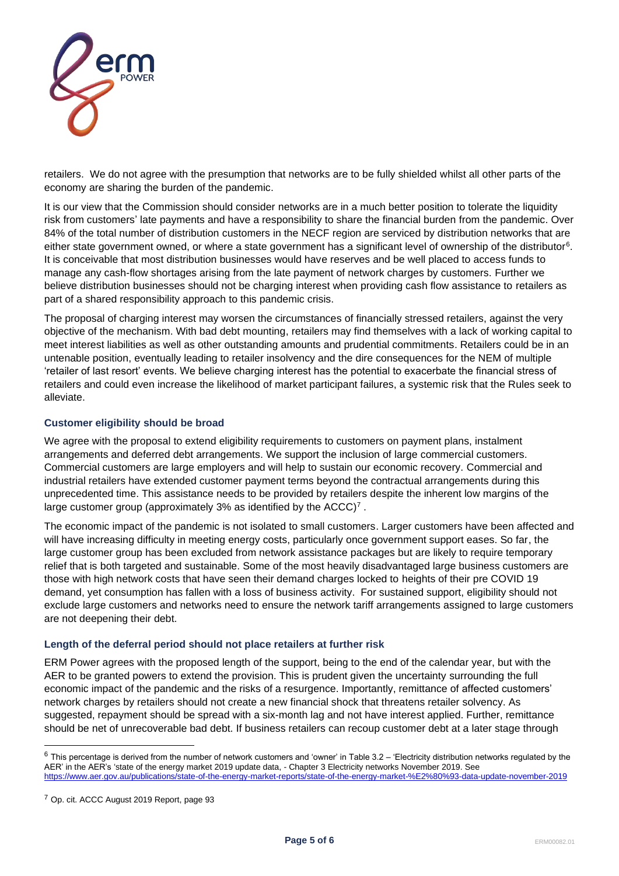

retailers. We do not agree with the presumption that networks are to be fully shielded whilst all other parts of the economy are sharing the burden of the pandemic.

It is our view that the Commission should consider networks are in a much better position to tolerate the liquidity risk from customers' late payments and have a responsibility to share the financial burden from the pandemic. Over 84% of the total number of distribution customers in the NECF region are serviced by distribution networks that are either state government owned, or where a state government has a significant level of ownership of the distributor<sup>6</sup>. It is conceivable that most distribution businesses would have reserves and be well placed to access funds to manage any cash-flow shortages arising from the late payment of network charges by customers. Further we believe distribution businesses should not be charging interest when providing cash flow assistance to retailers as part of a shared responsibility approach to this pandemic crisis.

The proposal of charging interest may worsen the circumstances of financially stressed retailers, against the very objective of the mechanism. With bad debt mounting, retailers may find themselves with a lack of working capital to meet interest liabilities as well as other outstanding amounts and prudential commitments. Retailers could be in an untenable position, eventually leading to retailer insolvency and the dire consequences for the NEM of multiple 'retailer of last resort' events. We believe charging interest has the potential to exacerbate the financial stress of retailers and could even increase the likelihood of market participant failures, a systemic risk that the Rules seek to alleviate.

## **Customer eligibility should be broad**

We agree with the proposal to extend eligibility requirements to customers on payment plans, instalment arrangements and deferred debt arrangements. We support the inclusion of large commercial customers. Commercial customers are large employers and will help to sustain our economic recovery. Commercial and industrial retailers have extended customer payment terms beyond the contractual arrangements during this unprecedented time. This assistance needs to be provided by retailers despite the inherent low margins of the large customer group (approximately 3% as identified by the ACCC)<sup>7</sup>.

The economic impact of the pandemic is not isolated to small customers. Larger customers have been affected and will have increasing difficulty in meeting energy costs, particularly once government support eases. So far, the large customer group has been excluded from network assistance packages but are likely to require temporary relief that is both targeted and sustainable. Some of the most heavily disadvantaged large business customers are those with high network costs that have seen their demand charges locked to heights of their pre COVID 19 demand, yet consumption has fallen with a loss of business activity. For sustained support, eligibility should not exclude large customers and networks need to ensure the network tariff arrangements assigned to large customers are not deepening their debt.

## **Length of the deferral period should not place retailers at further risk**

ERM Power agrees with the proposed length of the support, being to the end of the calendar year, but with the AER to be granted powers to extend the provision. This is prudent given the uncertainty surrounding the full economic impact of the pandemic and the risks of a resurgence. Importantly, remittance of affected customers' network charges by retailers should not create a new financial shock that threatens retailer solvency. As suggested, repayment should be spread with a six-month lag and not have interest applied. Further, remittance should be net of unrecoverable bad debt. If business retailers can recoup customer debt at a later stage through

 $6$  This percentage is derived from the number of network customers and 'owner' in Table 3.2 – 'Electricity distribution networks regulated by the AER' in the AER's 'state of the energy market 2019 update data, - Chapter 3 Electricity networks November 2019. See <https://www.aer.gov.au/publications/state-of-the-energy-market-reports/state-of-the-energy-market-%E2%80%93-data-update-november-2019>

<sup>7</sup> Op. cit. ACCC August 2019 Report, page 93